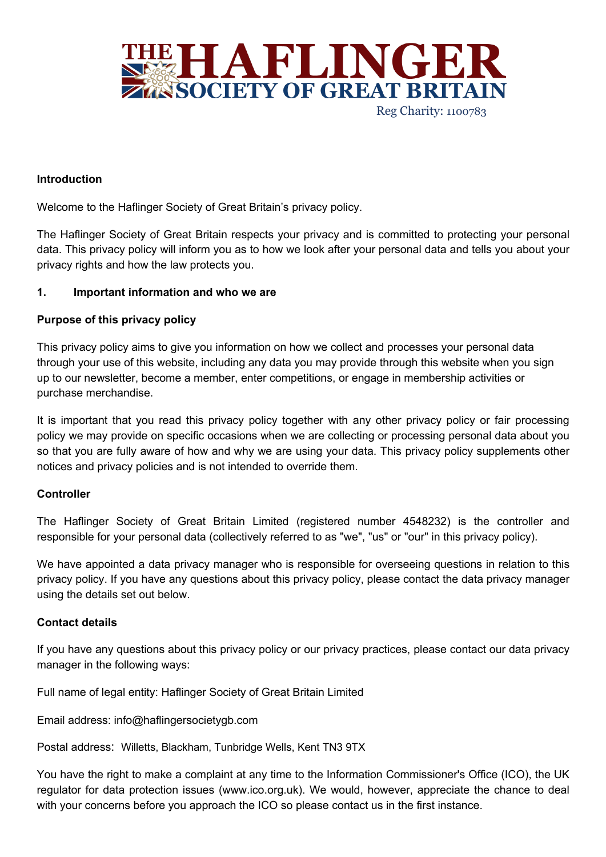

#### **Introduction**

Welcome to the Haflinger Society of Great Britain's privacy policy.

The Haflinger Society of Great Britain respects your privacy and is committed to protecting your personal data. This privacy policy will inform you as to how we look after your personal data and tells you about your privacy rights and how the law protects you.

#### **1. Important information and who we are**

#### **Purpose of this privacy policy**

This privacy policy aims to give you information on how we collect and processes your personal data through your use of this website, including any data you may provide through this website when you sign up to our newsletter, become a member, enter competitions, or engage in membership activities or purchase merchandise.

It is important that you read this privacy policy together with any other privacy policy or fair processing policy we may provide on specific occasions when we are collecting or processing personal data about you so that you are fully aware of how and why we are using your data. This privacy policy supplements other notices and privacy policies and is not intended to override them.

#### **Controller**

The Haflinger Society of Great Britain Limited (registered number 4548232) is the controller and responsible for your personal data (collectively referred to as "we", "us" or "our" in this privacy policy).

We have appointed a data privacy manager who is responsible for overseeing questions in relation to this privacy policy. If you have any questions about this privacy policy, please contact the data privacy manager using the details set out below.

#### **Contact details**

If you have any questions about this privacy policy or our privacy practices, please contact our data privacy manager in the following ways:

Full name of legal entity: Haflinger Society of Great Britain Limited

Email address: info@haflingersocietygb.com

Postal address: Willetts, Blackham, Tunbridge Wells, Kent TN3 9TX

You have the right to make a complaint at any time to the Information Commissioner's Office (ICO), the UK regulator for data protection issues (www.ico.org.uk). We would, however, appreciate the chance to deal with your concerns before you approach the ICO so please contact us in the first instance.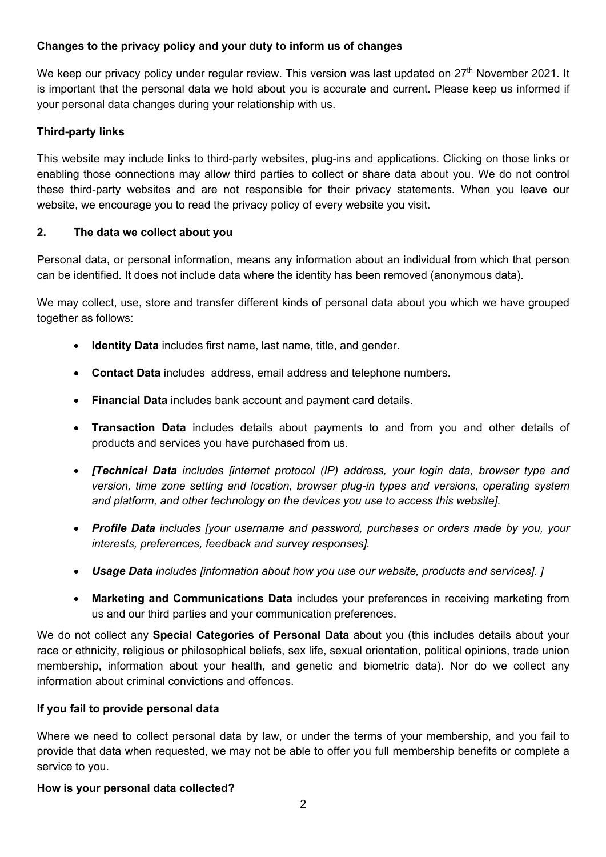# **Changes to the privacy policy and your duty to inform us of changes**

We keep our privacy policy under regular review. This version was last updated on 27<sup>th</sup> November 2021. It is important that the personal data we hold about you is accurate and current. Please keep us informed if your personal data changes during your relationship with us.

## **Third-party links**

This website may include links to third-party websites, plug-ins and applications. Clicking on those links or enabling those connections may allow third parties to collect or share data about you. We do not control these third-party websites and are not responsible for their privacy statements. When you leave our website, we encourage you to read the privacy policy of every website you visit.

## **2. The data we collect about you**

Personal data, or personal information, means any information about an individual from which that person can be identified. It does not include data where the identity has been removed (anonymous data).

We may collect, use, store and transfer different kinds of personal data about you which we have grouped together as follows:

- **Identity Data** includes first name, last name, title, and gender.
- **Contact Data** includes address, email address and telephone numbers.
- **Financial Data** includes bank account and payment card details.
- **Transaction Data** includes details about payments to and from you and other details of products and services you have purchased from us.
- *[Technical Data includes [internet protocol (IP) address, your login data, browser type and version, time zone setting and location, browser plug-in types and versions, operating system and platform, and other technology on the devices you use to access this website].*
- *Profile Data includes [your username and password, purchases or orders made by you, your interests, preferences, feedback and survey responses].*
- *Usage Data includes [information about how you use our website, products and services]. ]*
- **Marketing and Communications Data** includes your preferences in receiving marketing from us and our third parties and your communication preferences.

We do not collect any **Special Categories of Personal Data** about you (this includes details about your race or ethnicity, religious or philosophical beliefs, sex life, sexual orientation, political opinions, trade union membership, information about your health, and genetic and biometric data). Nor do we collect any information about criminal convictions and offences.

## **If you fail to provide personal data**

Where we need to collect personal data by law, or under the terms of your membership, and you fail to provide that data when requested, we may not be able to offer you full membership benefits or complete a service to you.

## **How is your personal data collected?**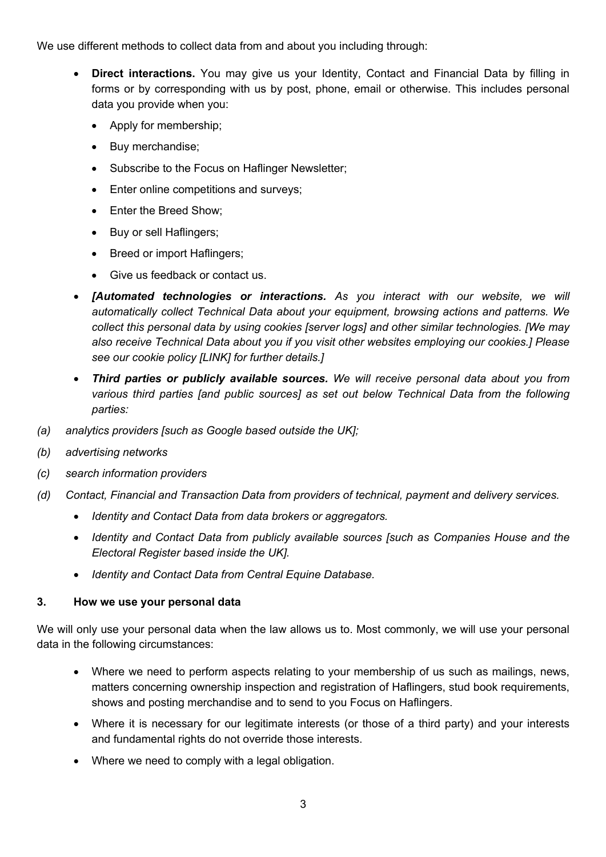We use different methods to collect data from and about you including through:

- **Direct interactions.** You may give us your Identity, Contact and Financial Data by filling in forms or by corresponding with us by post, phone, email or otherwise. This includes personal data you provide when you:
	- Apply for membership;
	- Buy merchandise;
	- Subscribe to the Focus on Haflinger Newsletter;
	- Enter online competitions and surveys;
	- Enter the Breed Show:
	- Buy or sell Haflingers;
	- Breed or import Haflingers;
	- Give us feedback or contact us.
- *[Automated technologies or interactions. As you interact with our website, we will automatically collect Technical Data about your equipment, browsing actions and patterns. We collect this personal data by using cookies [server logs] and other similar technologies. [We may also receive Technical Data about you if you visit other websites employing our cookies.] Please see our cookie policy [LINK] for further details.]*
- *Third parties or publicly available sources. We will receive personal data about you from various third parties [and public sources] as set out below Technical Data from the following parties:*
- *(a) analytics providers [such as Google based outside the UK];*
- *(b) advertising networks*
- *(c) search information providers*
- *(d) Contact, Financial and Transaction Data from providers of technical, payment and delivery services.*
	- *Identity and Contact Data from data brokers or aggregators.*
	- *Identity and Contact Data from publicly available sources [such as Companies House and the Electoral Register based inside the UK].*
	- *Identity and Contact Data from Central Equine Database.*

#### **3. How we use your personal data**

We will only use your personal data when the law allows us to. Most commonly, we will use your personal data in the following circumstances:

- Where we need to perform aspects relating to your membership of us such as mailings, news, matters concerning ownership inspection and registration of Haflingers, stud book requirements, shows and posting merchandise and to send to you Focus on Haflingers.
- Where it is necessary for our legitimate interests (or those of a third party) and your interests and fundamental rights do not override those interests.
- Where we need to comply with a legal obligation.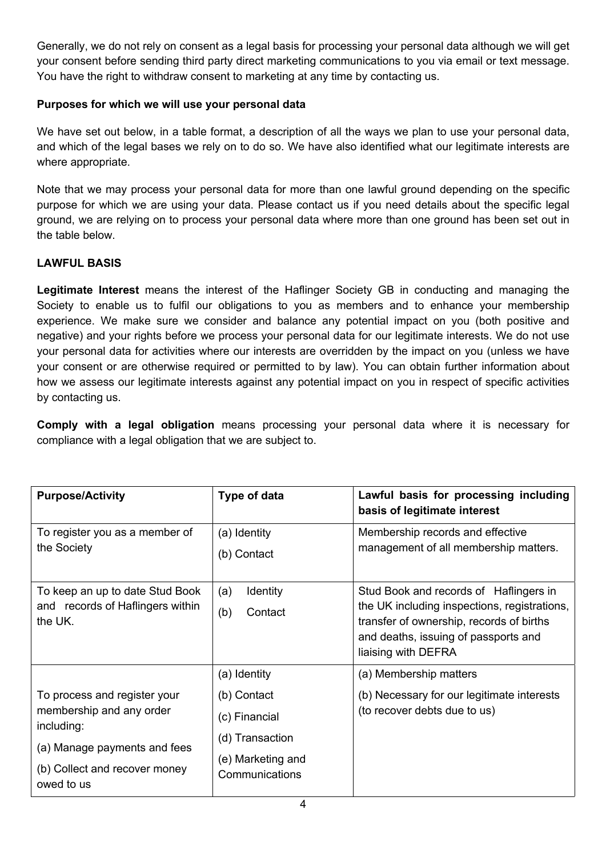Generally, we do not rely on consent as a legal basis for processing your personal data although we will get your consent before sending third party direct marketing communications to you via email or text message. You have the right to withdraw consent to marketing at any time by contacting us.

# **Purposes for which we will use your personal data**

We have set out below, in a table format, a description of all the ways we plan to use your personal data, and which of the legal bases we rely on to do so. We have also identified what our legitimate interests are where appropriate.

Note that we may process your personal data for more than one lawful ground depending on the specific purpose for which we are using your data. Please contact us if you need details about the specific legal ground, we are relying on to process your personal data where more than one ground has been set out in the table below.

# **LAWFUL BASIS**

**Legitimate Interest** means the interest of the Haflinger Society GB in conducting and managing the Society to enable us to fulfil our obligations to you as members and to enhance your membership experience. We make sure we consider and balance any potential impact on you (both positive and negative) and your rights before we process your personal data for our legitimate interests. We do not use your personal data for activities where our interests are overridden by the impact on you (unless we have your consent or are otherwise required or permitted to by law). You can obtain further information about how we assess our legitimate interests against any potential impact on you in respect of specific activities by contacting us.

**Comply with a legal obligation** means processing your personal data where it is necessary for compliance with a legal obligation that we are subject to.

| <b>Purpose/Activity</b>                                                        | Type of data                                           | Lawful basis for processing including<br>basis of legitimate interest                                                                                                                             |
|--------------------------------------------------------------------------------|--------------------------------------------------------|---------------------------------------------------------------------------------------------------------------------------------------------------------------------------------------------------|
| To register you as a member of<br>the Society                                  | (a) Identity<br>(b) Contact                            | Membership records and effective<br>management of all membership matters.                                                                                                                         |
| To keep an up to date Stud Book<br>and records of Haflingers within<br>the UK. | Identity<br>(a)<br>(b)<br>Contact                      | Stud Book and records of Haflingers in<br>the UK including inspections, registrations,<br>transfer of ownership, records of births<br>and deaths, issuing of passports and<br>liaising with DEFRA |
|                                                                                | (a) Identity                                           | (a) Membership matters                                                                                                                                                                            |
| To process and register your<br>membership and any order<br>including:         | (b) Contact                                            | (b) Necessary for our legitimate interests<br>(to recover debts due to us)                                                                                                                        |
|                                                                                | (c) Financial                                          |                                                                                                                                                                                                   |
| (a) Manage payments and fees                                                   | (d) Transaction<br>(e) Marketing and<br>Communications |                                                                                                                                                                                                   |
| (b) Collect and recover money<br>owed to us                                    |                                                        |                                                                                                                                                                                                   |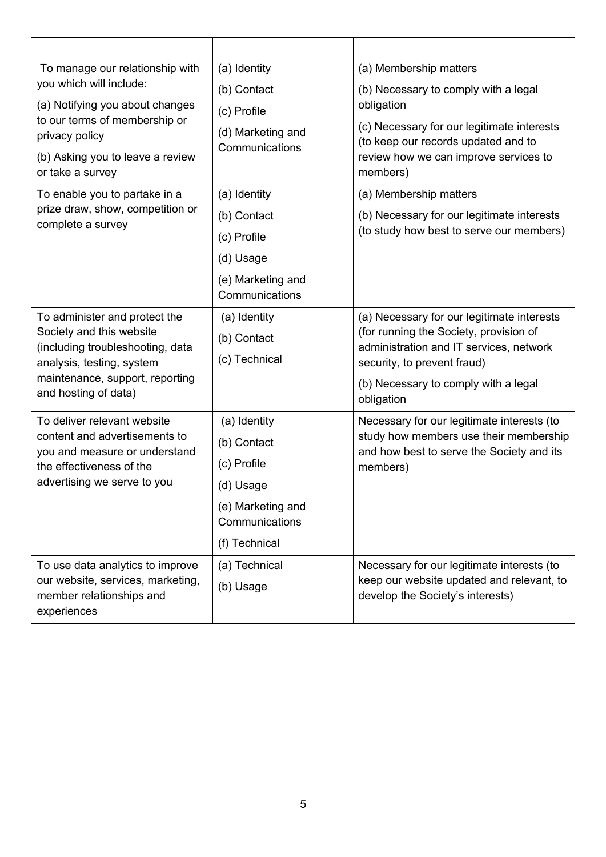| To manage our relationship with<br>you which will include:<br>(a) Notifying you about changes<br>to our terms of membership or<br>privacy policy                                      | (a) Identity<br>(b) Contact<br>(c) Profile<br>(d) Marketing and<br>Communications                               | (a) Membership matters<br>(b) Necessary to comply with a legal<br>obligation<br>(c) Necessary for our legitimate interests<br>(to keep our records updated and to                                                    |
|---------------------------------------------------------------------------------------------------------------------------------------------------------------------------------------|-----------------------------------------------------------------------------------------------------------------|----------------------------------------------------------------------------------------------------------------------------------------------------------------------------------------------------------------------|
| (b) Asking you to leave a review<br>or take a survey                                                                                                                                  |                                                                                                                 | review how we can improve services to<br>members)                                                                                                                                                                    |
| To enable you to partake in a<br>prize draw, show, competition or<br>complete a survey                                                                                                | (a) Identity<br>(b) Contact<br>(c) Profile<br>(d) Usage<br>(e) Marketing and<br>Communications                  | (a) Membership matters<br>(b) Necessary for our legitimate interests<br>(to study how best to serve our members)                                                                                                     |
| To administer and protect the<br>Society and this website<br>(including troubleshooting, data<br>analysis, testing, system<br>maintenance, support, reporting<br>and hosting of data) | (a) Identity<br>(b) Contact<br>(c) Technical                                                                    | (a) Necessary for our legitimate interests<br>(for running the Society, provision of<br>administration and IT services, network<br>security, to prevent fraud)<br>(b) Necessary to comply with a legal<br>obligation |
| To deliver relevant website<br>content and advertisements to<br>you and measure or understand<br>the effectiveness of the<br>advertising we serve to you                              | (a) Identity<br>(b) Contact<br>(c) Profile<br>(d) Usage<br>(e) Marketing and<br>Communications<br>(f) Technical | Necessary for our legitimate interests (to<br>study how members use their membership<br>and how best to serve the Society and its<br>members)                                                                        |
| To use data analytics to improve<br>our website, services, marketing,<br>member relationships and<br>experiences                                                                      | (a) Technical<br>(b) Usage                                                                                      | Necessary for our legitimate interests (to<br>keep our website updated and relevant, to<br>develop the Society's interests)                                                                                          |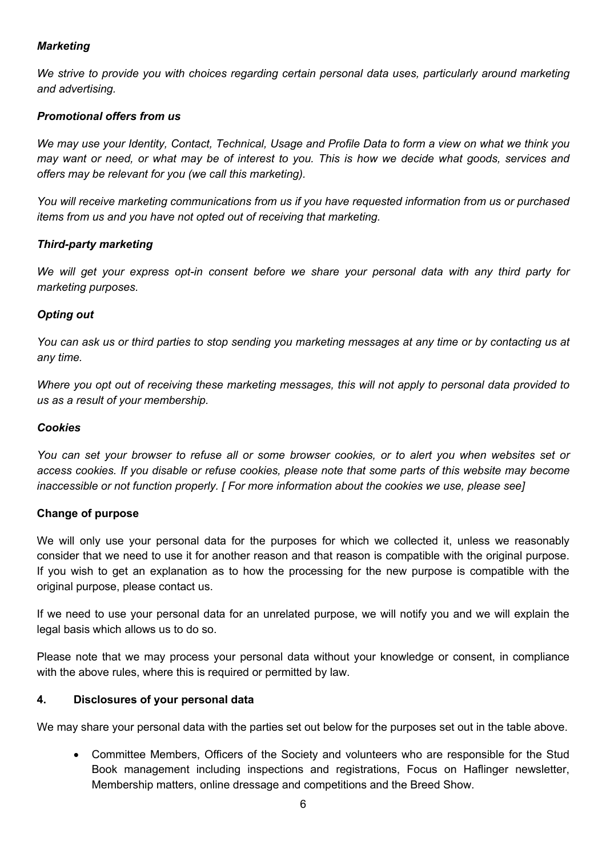# *Marketing*

*We strive to provide you with choices regarding certain personal data uses, particularly around marketing and advertising.* 

# *Promotional offers from us*

*We may use your Identity, Contact, Technical, Usage and Profile Data to form a view on what we think you may want or need, or what may be of interest to you. This is how we decide what goods, services and offers may be relevant for you (we call this marketing).* 

*You will receive marketing communications from us if you have requested information from us or purchased items from us and you have not opted out of receiving that marketing.*

## *Third-party marketing*

*We will get your express opt-in consent before we share your personal data with any third party for marketing purposes.* 

# *Opting out*

*You can ask us or third parties to stop sending you marketing messages at any time or by contacting us at any time.* 

*Where you opt out of receiving these marketing messages, this will not apply to personal data provided to us as a result of your membership.* 

## *Cookies*

*You can set your browser to refuse all or some browser cookies, or to alert you when websites set or access cookies. If you disable or refuse cookies, please note that some parts of this website may become inaccessible or not function properly. [ For more information about the cookies we use, please see]*

## **Change of purpose**

We will only use your personal data for the purposes for which we collected it, unless we reasonably consider that we need to use it for another reason and that reason is compatible with the original purpose. If you wish to get an explanation as to how the processing for the new purpose is compatible with the original purpose, please contact us.

If we need to use your personal data for an unrelated purpose, we will notify you and we will explain the legal basis which allows us to do so.

Please note that we may process your personal data without your knowledge or consent, in compliance with the above rules, where this is required or permitted by law.

## **4. Disclosures of your personal data**

We may share your personal data with the parties set out below for the purposes set out in the table above.

• Committee Members, Officers of the Society and volunteers who are responsible for the Stud Book management including inspections and registrations, Focus on Haflinger newsletter, Membership matters, online dressage and competitions and the Breed Show.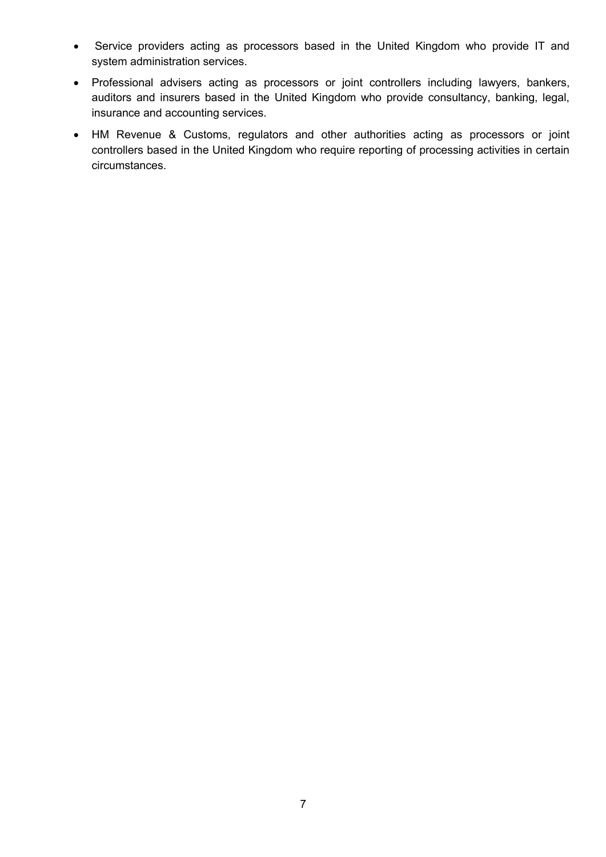- Service providers acting as processors based in the United Kingdom who provide IT and system administration services.
- Professional advisers acting as processors or joint controllers including lawyers, bankers, auditors and insurers based in the United Kingdom who provide consultancy, banking, legal, insurance and accounting services.
- HM Revenue & Customs, regulators and other authorities acting as processors or joint controllers based in the United Kingdom who require reporting of processing activities in certain circumstances.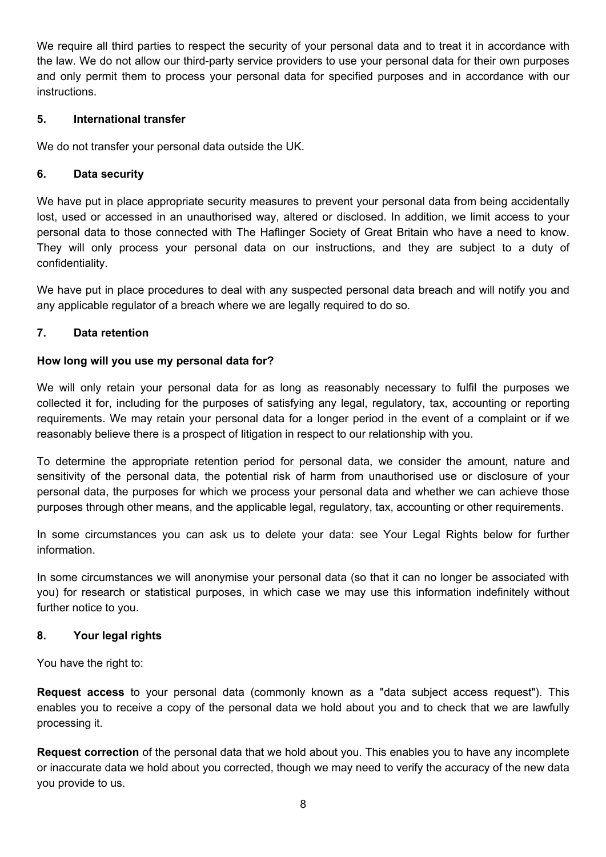We require all third parties to respect the security of your personal data and to treat it in accordance with the law. We do not allow our third-party service providers to use your personal data for their own purposes and only permit them to process your personal data for specified purposes and in accordance with our instructions.

#### **5. International transfer**

We do not transfer your personal data outside the UK.

#### **6. Data security**

We have put in place appropriate security measures to prevent your personal data from being accidentally lost, used or accessed in an unauthorised way, altered or disclosed. In addition, we limit access to your personal data to those connected with The Haflinger Society of Great Britain who have a need to know. They will only process your personal data on our instructions, and they are subject to a duty of confidentiality.

We have put in place procedures to deal with any suspected personal data breach and will notify you and any applicable regulator of a breach where we are legally required to do so.

#### **7. Data retention**

#### **How long will you use my personal data for?**

We will only retain your personal data for as long as reasonably necessary to fulfil the purposes we collected it for, including for the purposes of satisfying any legal, regulatory, tax, accounting or reporting requirements. We may retain your personal data for a longer period in the event of a complaint or if we reasonably believe there is a prospect of litigation in respect to our relationship with you.

To determine the appropriate retention period for personal data, we consider the amount, nature and sensitivity of the personal data, the potential risk of harm from unauthorised use or disclosure of your personal data, the purposes for which we process your personal data and whether we can achieve those purposes through other means, and the applicable legal, regulatory, tax, accounting or other requirements.

In some circumstances you can ask us to delete your data: see Your Legal Rights below for further information.

In some circumstances we will anonymise your personal data (so that it can no longer be associated with you) for research or statistical purposes, in which case we may use this information indefinitely without further notice to you.

## **8. Your legal rights**

You have the right to:

**Request access** to your personal data (commonly known as a "data subject access request"). This enables you to receive a copy of the personal data we hold about you and to check that we are lawfully processing it.

**Request correction** of the personal data that we hold about you. This enables you to have any incomplete or inaccurate data we hold about you corrected, though we may need to verify the accuracy of the new data you provide to us.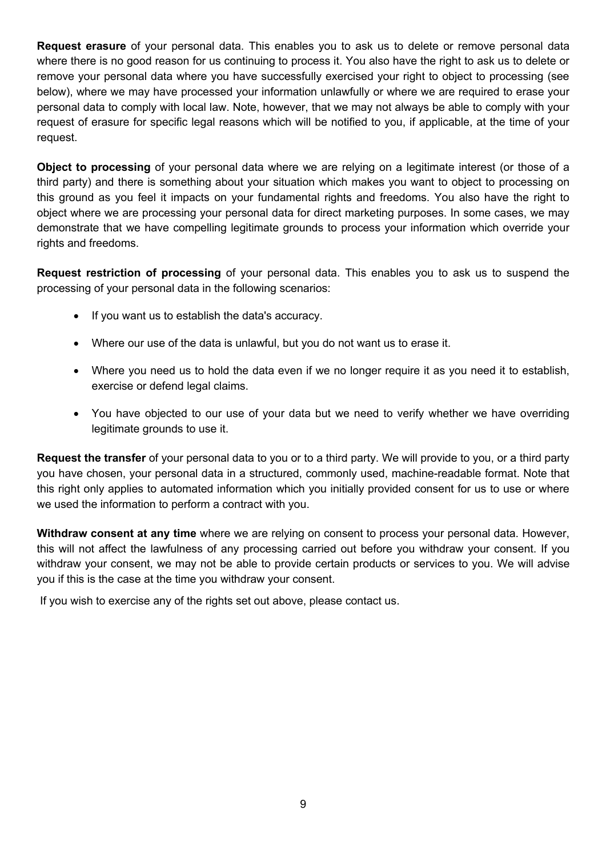**Request erasure** of your personal data. This enables you to ask us to delete or remove personal data where there is no good reason for us continuing to process it. You also have the right to ask us to delete or remove your personal data where you have successfully exercised your right to object to processing (see below), where we may have processed your information unlawfully or where we are required to erase your personal data to comply with local law. Note, however, that we may not always be able to comply with your request of erasure for specific legal reasons which will be notified to you, if applicable, at the time of your request.

**Object to processing** of your personal data where we are relying on a legitimate interest (or those of a third party) and there is something about your situation which makes you want to object to processing on this ground as you feel it impacts on your fundamental rights and freedoms. You also have the right to object where we are processing your personal data for direct marketing purposes. In some cases, we may demonstrate that we have compelling legitimate grounds to process your information which override your rights and freedoms.

**Request restriction of processing** of your personal data. This enables you to ask us to suspend the processing of your personal data in the following scenarios:

- If you want us to establish the data's accuracy.
- Where our use of the data is unlawful, but you do not want us to erase it.
- Where you need us to hold the data even if we no longer require it as you need it to establish, exercise or defend legal claims.
- You have objected to our use of your data but we need to verify whether we have overriding legitimate grounds to use it.

**Request the transfer** of your personal data to you or to a third party. We will provide to you, or a third party you have chosen, your personal data in a structured, commonly used, machine-readable format. Note that this right only applies to automated information which you initially provided consent for us to use or where we used the information to perform a contract with you.

**Withdraw consent at any time** where we are relying on consent to process your personal data. However, this will not affect the lawfulness of any processing carried out before you withdraw your consent. If you withdraw your consent, we may not be able to provide certain products or services to you. We will advise you if this is the case at the time you withdraw your consent.

If you wish to exercise any of the rights set out above, please contact us.